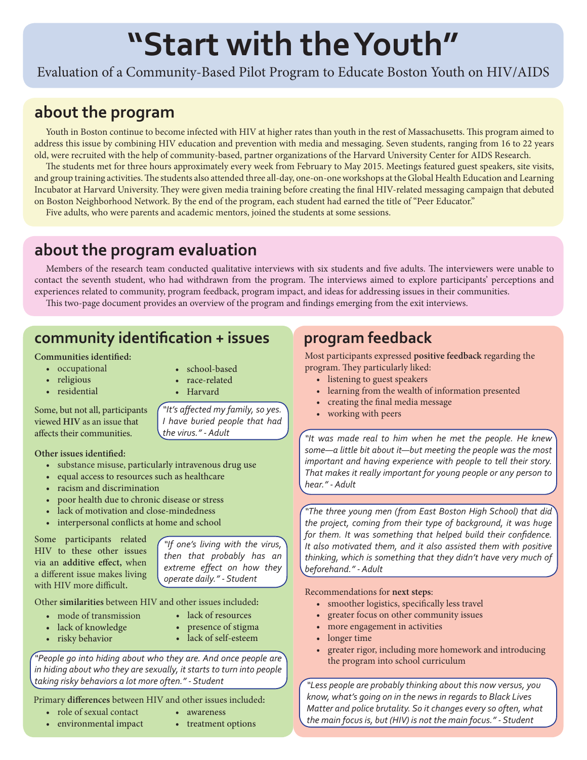# **"Start with the Youth"**

Evaluation of a Community-Based Pilot Program to Educate Boston Youth on HIV/AIDS

## **about the program**

Youth in Boston continue to become infected with HIV at higher rates than youth in the rest of Massachusetts. This program aimed to address this issue by combining HIV education and prevention with media and messaging. Seven students, ranging from 16 to 22 years old, were recruited with the help of community-based, partner organizations of the Harvard University Center for AIDS Research.

The students met for three hours approximately every week from February to May 2015. Meetings featured guest speakers, site visits, and group training activities. The students also attended three all-day, one-on-one workshops at the Global Health Education and Learning Incubator at Harvard University. They were given media training before creating the final HIV-related messaging campaign that debuted on Boston Neighborhood Network. By the end of the program, each student had earned the title of "Peer Educator."

Five adults, who were parents and academic mentors, joined the students at some sessions.

# **about the program evaluation**

Members of the research team conducted qualitative interviews with six students and five adults. The interviewers were unable to contact the seventh student, who had withdrawn from the program. The interviews aimed to explore participants' perceptions and experiences related to community, program feedback, program impact, and ideas for addressing issues in their communities.

This two-page document provides an overview of the program and findings emerging from the exit interviews.

## **community identification + issues**

#### **Communities identified:**

- occupational
- religious
- residential

• school-based

*"It's affected my family, so yes. I have buried people that had* 

- race-related
- Harvard

*the virus." - Adult*

Some, but not all, participants viewed **HIV** as an issue that affects their communities.

**Other issues identified:**

- substance misuse, particularly intravenous drug use
- equal access to resources such as healthcare
- racism and discrimination
- poor health due to chronic disease or stress
- lack of motivation and close-mindedness
- interpersonal conflicts at home and school

Some participants related HIV to these other issues via an **additive effect,** when a different issue makes living with HIV more difficult**.**

*"If one's living with the virus, then that probably has an extreme effect on how they operate daily." - Student*

Other **similarities** between HIV and other issues included**:**

- mode of transmission
- lack of knowledge
- risky behavior
- lack of resources • presence of stigma
- lack of self-esteem

*"People go into hiding about who they are. And once people are in hiding about who they are sexually, it starts to turn into people taking risky behaviors a lot more often." - Student*

Primary **differences** between HIV and other issues included**:**

- role of sexual contact
- environmental impact
- awareness
- treatment options

#### **program feedback**

Most participants expressed **positive feedback** regarding the program. They particularly liked:

- listening to guest speakers
- learning from the wealth of information presented
- creating the final media message
- working with peers

*"It was made real to him when he met the people. He knew some—a little bit about it—but meeting the people was the most important and having experience with people to tell their story. That makes it really important for young people or any person to hear." - Adult*

*"The three young men (from East Boston High School) that did the project, coming from their type of background, it was huge for them. It was something that helped build their confidence. It also motivated them, and it also assisted them with positive thinking, which is something that they didn't have very much of beforehand." - Adult*

Recommendations for **next steps**:

- smoother logistics, specifically less travel
- greater focus on other community issues
- more engagement in activities
- longer time
- greater rigor, including more homework and introducing the program into school curriculum

*"Less people are probably thinking about this now versus, you know, what's going on in the news in regards to Black Lives Matter and police brutality. So it changes every so often, what the main focus is, but (HIV) is not the main focus." - Student*